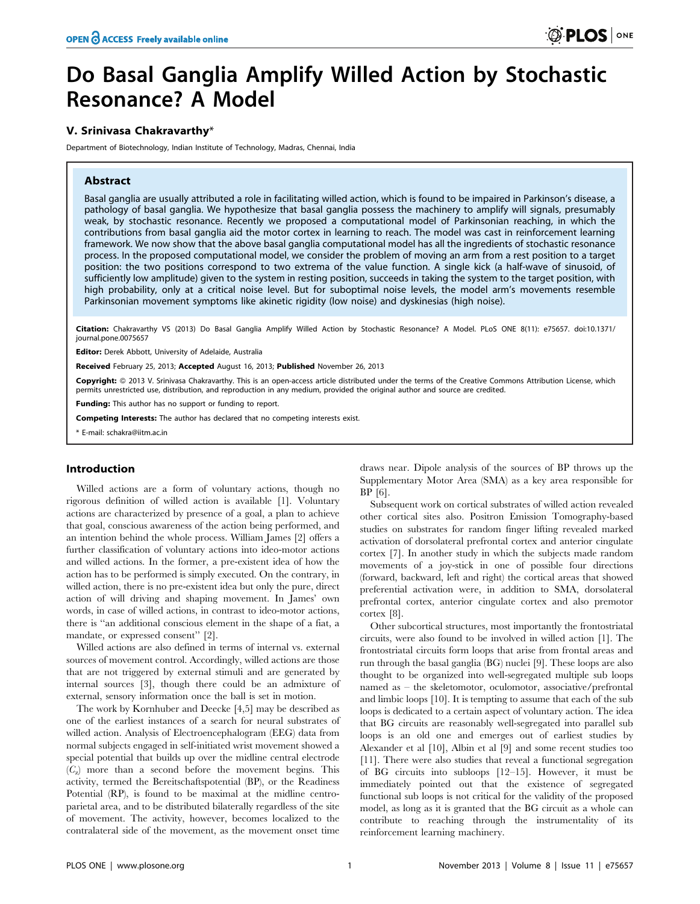# Do Basal Ganglia Amplify Willed Action by Stochastic Resonance? A Model

# V. Srinivasa Chakravarthy\*

Department of Biotechnology, Indian Institute of Technology, Madras, Chennai, India

# Abstract

Basal ganglia are usually attributed a role in facilitating willed action, which is found to be impaired in Parkinson's disease, a pathology of basal ganglia. We hypothesize that basal ganglia possess the machinery to amplify will signals, presumably weak, by stochastic resonance. Recently we proposed a computational model of Parkinsonian reaching, in which the contributions from basal ganglia aid the motor cortex in learning to reach. The model was cast in reinforcement learning framework. We now show that the above basal ganglia computational model has all the ingredients of stochastic resonance process. In the proposed computational model, we consider the problem of moving an arm from a rest position to a target position: the two positions correspond to two extrema of the value function. A single kick (a half-wave of sinusoid, of sufficiently low amplitude) given to the system in resting position, succeeds in taking the system to the target position, with high probability, only at a critical noise level. But for suboptimal noise levels, the model arm's movements resemble Parkinsonian movement symptoms like akinetic rigidity (low noise) and dyskinesias (high noise).

Citation: Chakravarthy VS (2013) Do Basal Ganglia Amplify Willed Action by Stochastic Resonance? A Model. PLoS ONE 8(11): e75657. doi:10.1371/ journal.pone.0075657

Editor: Derek Abbott, University of Adelaide, Australia

Received February 25, 2013; Accepted August 16, 2013; Published November 26, 2013

Copyright: © 2013 V. Srinivasa Chakravarthy. This is an open-access article distributed under the terms of the Creative Commons Attribution License, which permits unrestricted use, distribution, and reproduction in any medium, provided the original author and source are credited.

**Funding:** This author has no support or funding to report.

Competing Interests: The author has declared that no competing interests exist.

\* E-mail: schakra@iitm.ac.in

## Introduction

Willed actions are a form of voluntary actions, though no rigorous definition of willed action is available [1]. Voluntary actions are characterized by presence of a goal, a plan to achieve that goal, conscious awareness of the action being performed, and an intention behind the whole process. William James [2] offers a further classification of voluntary actions into ideo-motor actions and willed actions. In the former, a pre-existent idea of how the action has to be performed is simply executed. On the contrary, in willed action, there is no pre-existent idea but only the pure, direct action of will driving and shaping movement. In James' own words, in case of willed actions, in contrast to ideo-motor actions, there is ''an additional conscious element in the shape of a fiat, a mandate, or expressed consent'' [2].

Willed actions are also defined in terms of internal vs. external sources of movement control. Accordingly, willed actions are those that are not triggered by external stimuli and are generated by internal sources [3], though there could be an admixture of external, sensory information once the ball is set in motion.

The work by Kornhuber and Deecke [4,5] may be described as one of the earliest instances of a search for neural substrates of willed action. Analysis of Electroencephalogram (EEG) data from normal subjects engaged in self-initiated wrist movement showed a special potential that builds up over the midline central electrode  $(C_2)$  more than a second before the movement begins. This activity, termed the Bereitschaftspotential (BP), or the Readiness Potential (RP), is found to be maximal at the midline centroparietal area, and to be distributed bilaterally regardless of the site of movement. The activity, however, becomes localized to the contralateral side of the movement, as the movement onset time

draws near. Dipole analysis of the sources of BP throws up the Supplementary Motor Area (SMA) as a key area responsible for BP [6].

Subsequent work on cortical substrates of willed action revealed other cortical sites also. Positron Emission Tomography-based studies on substrates for random finger lifting revealed marked activation of dorsolateral prefrontal cortex and anterior cingulate cortex [7]. In another study in which the subjects made random movements of a joy-stick in one of possible four directions (forward, backward, left and right) the cortical areas that showed preferential activation were, in addition to SMA, dorsolateral prefrontal cortex, anterior cingulate cortex and also premotor cortex [8].

Other subcortical structures, most importantly the frontostriatal circuits, were also found to be involved in willed action [1]. The frontostriatal circuits form loops that arise from frontal areas and run through the basal ganglia (BG) nuclei [9]. These loops are also thought to be organized into well-segregated multiple sub loops named as – the skeletomotor, oculomotor, associative/prefrontal and limbic loops [10]. It is tempting to assume that each of the sub loops is dedicated to a certain aspect of voluntary action. The idea that BG circuits are reasonably well-segregated into parallel sub loops is an old one and emerges out of earliest studies by Alexander et al [10], Albin et al [9] and some recent studies too [11]. There were also studies that reveal a functional segregation of BG circuits into subloops [12–15]. However, it must be immediately pointed out that the existence of segregated functional sub loops is not critical for the validity of the proposed model, as long as it is granted that the BG circuit as a whole can contribute to reaching through the instrumentality of its reinforcement learning machinery.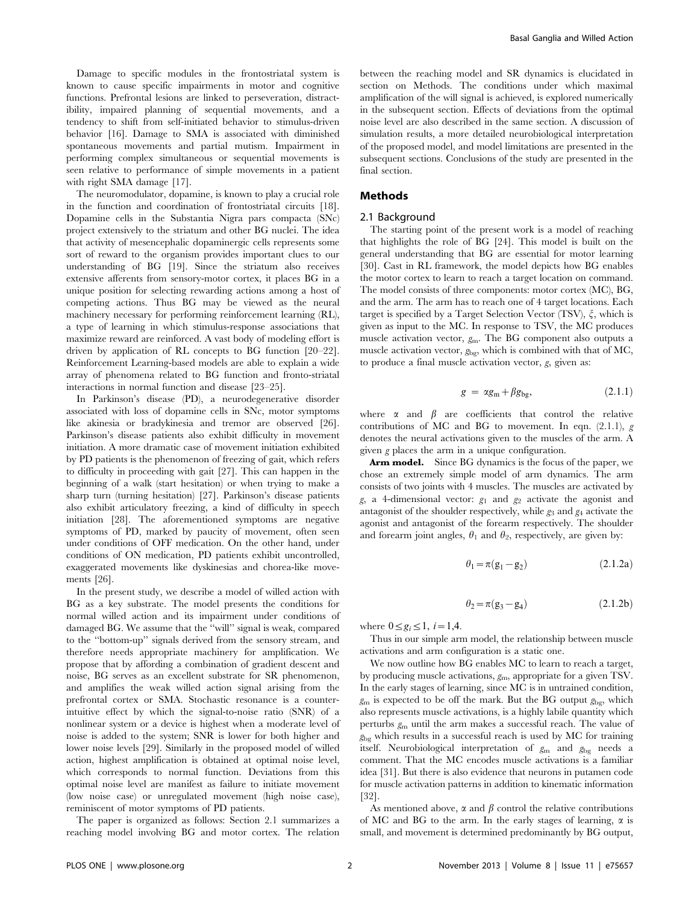Damage to specific modules in the frontostriatal system is known to cause specific impairments in motor and cognitive functions. Prefrontal lesions are linked to perseveration, distractibility, impaired planning of sequential movements, and a tendency to shift from self-initiated behavior to stimulus-driven behavior [16]. Damage to SMA is associated with diminished spontaneous movements and partial mutism. Impairment in performing complex simultaneous or sequential movements is seen relative to performance of simple movements in a patient with right SMA damage [17].

The neuromodulator, dopamine, is known to play a crucial role in the function and coordination of frontostriatal circuits [18]. Dopamine cells in the Substantia Nigra pars compacta (SNc) project extensively to the striatum and other BG nuclei. The idea that activity of mesencephalic dopaminergic cells represents some sort of reward to the organism provides important clues to our understanding of BG [19]. Since the striatum also receives extensive afferents from sensory-motor cortex, it places BG in a unique position for selecting rewarding actions among a host of competing actions. Thus BG may be viewed as the neural machinery necessary for performing reinforcement learning (RL), a type of learning in which stimulus-response associations that maximize reward are reinforced. A vast body of modeling effort is driven by application of RL concepts to BG function [20–22]. Reinforcement Learning-based models are able to explain a wide array of phenomena related to BG function and fronto-striatal interactions in normal function and disease [23–25].

In Parkinson's disease (PD), a neurodegenerative disorder associated with loss of dopamine cells in SNc, motor symptoms like akinesia or bradykinesia and tremor are observed [26]. Parkinson's disease patients also exhibit difficulty in movement initiation. A more dramatic case of movement initiation exhibited by PD patients is the phenomenon of freezing of gait, which refers to difficulty in proceeding with gait [27]. This can happen in the beginning of a walk (start hesitation) or when trying to make a sharp turn (turning hesitation) [27]. Parkinson's disease patients also exhibit articulatory freezing, a kind of difficulty in speech initiation [28]. The aforementioned symptoms are negative symptoms of PD, marked by paucity of movement, often seen under conditions of OFF medication. On the other hand, under conditions of ON medication, PD patients exhibit uncontrolled, exaggerated movements like dyskinesias and chorea-like movements [26].

In the present study, we describe a model of willed action with BG as a key substrate. The model presents the conditions for normal willed action and its impairment under conditions of damaged BG. We assume that the ''will'' signal is weak, compared to the ''bottom-up'' signals derived from the sensory stream, and therefore needs appropriate machinery for amplification. We propose that by affording a combination of gradient descent and noise, BG serves as an excellent substrate for SR phenomenon, and amplifies the weak willed action signal arising from the prefrontal cortex or SMA. Stochastic resonance is a counterintuitive effect by which the signal-to-noise ratio (SNR) of a nonlinear system or a device is highest when a moderate level of noise is added to the system; SNR is lower for both higher and lower noise levels [29]. Similarly in the proposed model of willed action, highest amplification is obtained at optimal noise level, which corresponds to normal function. Deviations from this optimal noise level are manifest as failure to initiate movement (low noise case) or unregulated movement (high noise case), reminiscent of motor symptoms of PD patients.

The paper is organized as follows: Section 2.1 summarizes a reaching model involving BG and motor cortex. The relation

between the reaching model and SR dynamics is elucidated in section on Methods. The conditions under which maximal amplification of the will signal is achieved, is explored numerically in the subsequent section. Effects of deviations from the optimal noise level are also described in the same section. A discussion of simulation results, a more detailed neurobiological interpretation of the proposed model, and model limitations are presented in the subsequent sections. Conclusions of the study are presented in the final section.

## Methods

## 2.1 Background

The starting point of the present work is a model of reaching that highlights the role of BG [24]. This model is built on the general understanding that BG are essential for motor learning [30]. Cast in RL framework, the model depicts how BG enables the motor cortex to learn to reach a target location on command. The model consists of three components: motor cortex (MC), BG, and the arm. The arm has to reach one of 4 target locations. Each target is specified by a Target Selection Vector (TSV),  $\xi$ , which is given as input to the MC. In response to TSV, the MC produces muscle activation vector,  $g_m$ . The BG component also outputs a muscle activation vector,  $g_{bg}$ , which is combined with that of MC, to produce a final muscle activation vector, g, given as:

$$
g = \alpha g_m + \beta g_{bg}, \qquad (2.1.1)
$$

where  $\alpha$  and  $\beta$  are coefficients that control the relative contributions of MC and BG to movement. In eqn.  $(2.1.1)$ , g denotes the neural activations given to the muscles of the arm. A given g places the arm in a unique configuration.

Arm model. Since BG dynamics is the focus of the paper, we chose an extremely simple model of arm dynamics. The arm consists of two joints with 4 muscles. The muscles are activated by g, a 4-dimensional vector:  $g_1$  and  $g_2$  activate the agonist and antagonist of the shoulder respectively, while  $g_3$  and  $g_4$  activate the agonist and antagonist of the forearm respectively. The shoulder and forearm joint angles,  $\theta_1$  and  $\theta_2$ , respectively, are given by:

$$
\theta_1 = \pi(g_1 - g_2) \tag{2.1.2a}
$$

$$
\theta_2 = \pi(g_3 - g_4) \tag{2.1.2b}
$$

where  $0 \leq g_i \leq 1$ ,  $i=1,4$ .

Thus in our simple arm model, the relationship between muscle activations and arm configuration is a static one.

We now outline how BG enables MC to learn to reach a target, by producing muscle activations, gm, appropriate for a given TSV. In the early stages of learning, since MC is in untrained condition,  $g<sub>m</sub>$  is expected to be off the mark. But the BG output  $g<sub>bg</sub>$ , which also represents muscle activations, is a highly labile quantity which perturbs g<sup>m</sup> until the arm makes a successful reach. The value of  $g_{\text{bg}}$  which results in a successful reach is used by MC for training itself. Neurobiological interpretation of  $g_m$  and  $g_{bg}$  needs a comment. That the MC encodes muscle activations is a familiar idea [31]. But there is also evidence that neurons in putamen code for muscle activation patterns in addition to kinematic information [32].

As mentioned above,  $\alpha$  and  $\beta$  control the relative contributions of MC and BG to the arm. In the early stages of learning,  $\alpha$  is small, and movement is determined predominantly by BG output,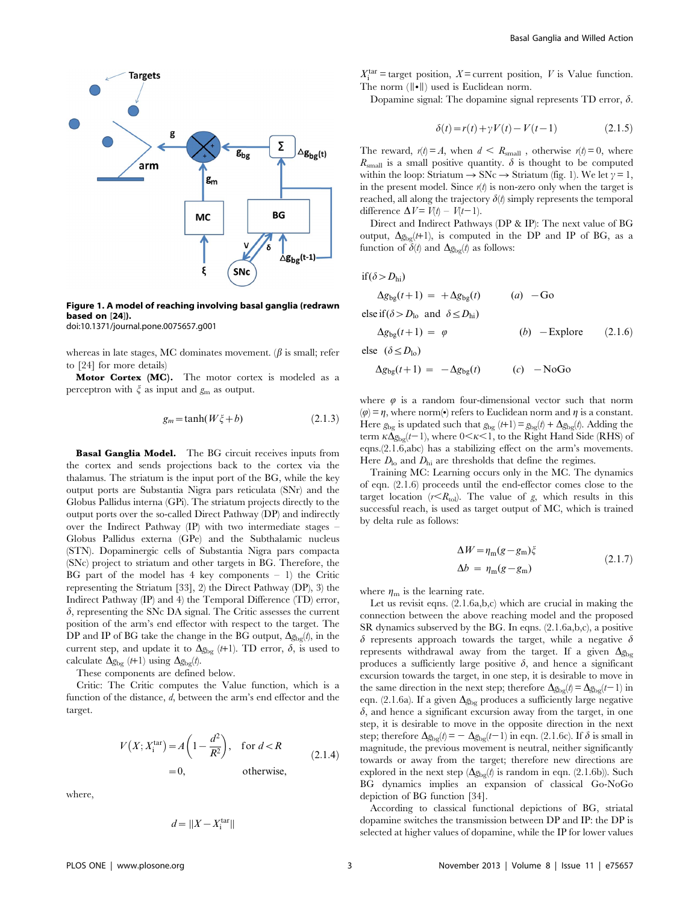

Figure 1. A model of reaching involving basal ganglia (redrawn based on [24]).

doi:10.1371/journal.pone.0075657.g001

whereas in late stages, MC dominates movement.  $(\beta$  is small; refer to [24] for more details)

Motor Cortex (MC). The motor cortex is modeled as a perceptron with  $\xi$  as input and  $g_m$  as output.

$$
g_m = \tanh(W\xi + b) \tag{2.1.3}
$$

Basal Ganglia Model. The BG circuit receives inputs from the cortex and sends projections back to the cortex via the thalamus. The striatum is the input port of the BG, while the key output ports are Substantia Nigra pars reticulata (SNr) and the Globus Pallidus interna (GPi). The striatum projects directly to the output ports over the so-called Direct Pathway (DP) and indirectly over the Indirect Pathway (IP) with two intermediate stages – Globus Pallidus externa (GPe) and the Subthalamic nucleus (STN). Dopaminergic cells of Substantia Nigra pars compacta (SNc) project to striatum and other targets in BG. Therefore, the BG part of the model has  $4 \text{ key components} - 1$  the Critic representing the Striatum [33], 2) the Direct Pathway (DP), 3) the Indirect Pathway (IP) and 4) the Temporal Difference (TD) error,  $\delta$ , representing the SNc DA signal. The Critic assesses the current position of the arm's end effector with respect to the target. The DP and IP of BG take the change in the BG output,  $\Delta g_{\text{bo}}(t)$ , in the current step, and update it to  $\Delta g_{\text{bg}}$  (*t*+1). TD error,  $\delta$ , is used to calculate  $\Delta g_{\text{bg}}(t+1)$  using  $\Delta g_{\text{bg}}(t)$ .

These components are defined below.

Critic: The Critic computes the Value function, which is a function of the distance, d, between the arm's end effector and the target.

$$
V(X; X_i^{\text{tar}}) = A\left(1 - \frac{d^2}{R^2}\right), \text{ for } d < R
$$
  
= 0, otherwise, (2.1.4)

where,

$$
d = \|X - X^\textrm{tar}_\textrm{i}\|
$$

 $X_i^{\text{tar}}$  = target position,  $X$  = current position, V is Value function. The norm  $(\|\cdot\|)$  used is Euclidean norm.

Dopamine signal: The dopamine signal represents TD error,  $\delta$ .

$$
\delta(t) = r(t) + \gamma V(t) - V(t-1)
$$
\n(2.1.5)

The reward,  $r(t) = A$ , when  $d \le R_{\text{small}}$ , otherwise  $r(t) = 0$ , where  $R_{\text{small}}$  is a small positive quantity.  $\delta$  is thought to be computed within the loop: Striatum  $\rightarrow$  SNc  $\rightarrow$  Striatum (fig. 1). We let  $\gamma = 1$ , in the present model. Since  $r(t)$  is non-zero only when the target is reached, all along the trajectory  $\delta(t)$  simply represents the temporal difference  $\Delta V = V(t) - V(t-1)$ .

Direct and Indirect Pathways (DP & IP): The next value of BG output,  $\Delta g_{\text{bg}}(t+1)$ , is computed in the DP and IP of BG, as a function of  $\delta(t)$  and  $\Delta g_{\text{bg}}(t)$  as follows:

if( $\delta > D_{\text{hi}}$ )

 $\Delta g_{bg}(t+1) = +\Delta g_{bg}(t) \qquad (a) -Go$ else if  $(\delta > D_{\text{lo}}$  and  $\delta \le D_{\text{hi}})$  $\Delta \varphi_{\rm bg}(t+1) = \varphi$  $(2.1.6)$ 

$$
\Delta g_{bg}(t+1) = \varphi \qquad (b) \qquad \text{Lapior}
$$

else  $(\delta \leq D_{\text{lo}})$ 

$$
\Delta g_{\rm bg}(t+1) = -\Delta g_{\rm bg}(t) \qquad (c) \quad -\text{NoGo}
$$

where  $\varphi$  is a random four-dimensional vector such that norm  $(\varphi) = \eta$ , where norm(•) refers to Euclidean norm and  $\eta$  is a constant. Here  $g_{bg}$  is updated such that  $g_{bg}(t+1) = g_{bg}(t) + \Delta g_{bg}(t)$ . Adding the term  $\kappa \Delta g_{\text{bg}}(t-1)$ , where  $0 \leq \kappa \leq 1$ , to the Right Hand Side (RHS) of eqns.(2.1.6,abc) has a stabilizing effect on the arm's movements. Here  $D_{\text{lo}}$  and  $D_{\text{hi}}$  are thresholds that define the regimes.

Training MC: Learning occurs only in the MC. The dynamics of eqn. (2.1.6) proceeds until the end-effector comes close to the target location ( $r < R_{\text{tol}}$ ). The value of g, which results in this successful reach, is used as target output of MC, which is trained by delta rule as follows:

$$
\Delta W = \eta_{\rm m}(g - g_{\rm m})\zeta
$$
  
\n
$$
\Delta b = \eta_{\rm m}(g - g_{\rm m})
$$
\n(2.1.7)

where  $\eta_{\rm m}$  is the learning rate.

Let us revisit eqns. (2.1.6a,b,c) which are crucial in making the connection between the above reaching model and the proposed SR dynamics subserved by the BG. In eqns. (2.1.6a,b,c), a positive  $\delta$  represents approach towards the target, while a negative  $\delta$ represents withdrawal away from the target. If a given  $\Delta g_{\rm bo}$ produces a sufficiently large positive  $\delta$ , and hence a significant excursion towards the target, in one step, it is desirable to move in the same direction in the next step; therefore  $\Delta g_{\text{bg}}(t) = \Delta g_{\text{bg}}(t-1)$  in eqn. (2.1.6a). If a given  $\Delta g_{\rm bg}$  produces a sufficiently large negative  $\delta$ , and hence a significant excursion away from the target, in one step, it is desirable to move in the opposite direction in the next step; therefore  $\Delta g_{\text{bg}}(t) = -\Delta g_{\text{bg}}(t-1)$  in eqn. (2.1.6c). If  $\delta$  is small in magnitude, the previous movement is neutral, neither significantly towards or away from the target; therefore new directions are explored in the next step  $(\Delta g_{\text{bg}}(t)$  is random in eqn. (2.1.6b)). Such BG dynamics implies an expansion of classical Go-NoGo depiction of BG function [34].

According to classical functional depictions of BG, striatal dopamine switches the transmission between DP and IP: the DP is selected at higher values of dopamine, while the IP for lower values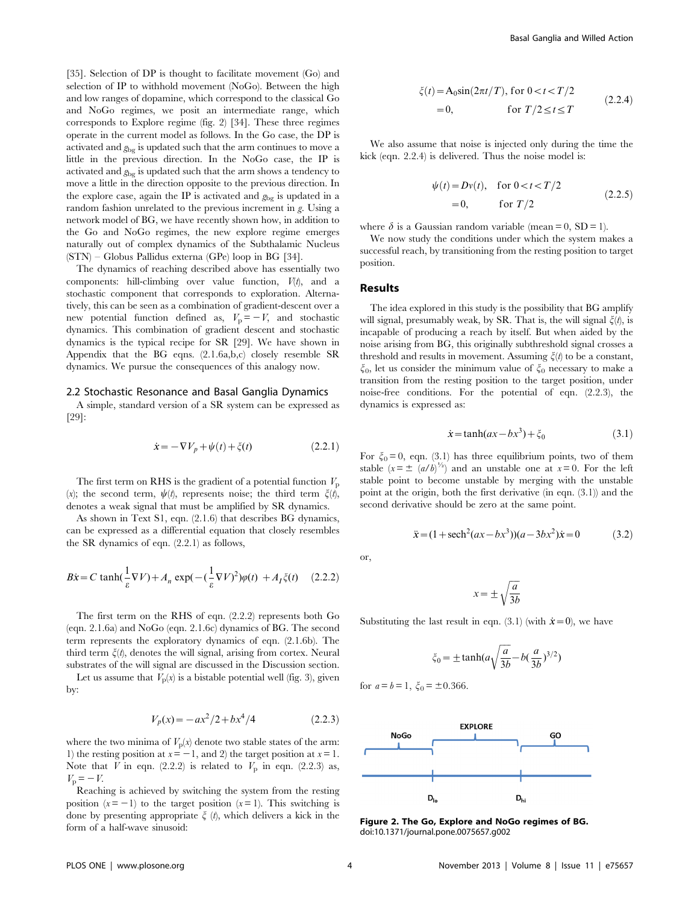[35]. Selection of DP is thought to facilitate movement (Go) and selection of IP to withhold movement (NoGo). Between the high and low ranges of dopamine, which correspond to the classical Go and NoGo regimes, we posit an intermediate range, which corresponds to Explore regime (fig. 2) [34]. These three regimes operate in the current model as follows. In the Go case, the DP is activated and  $g_{\rm bo}$  is updated such that the arm continues to move a little in the previous direction. In the NoGo case, the IP is activated and  $g_{\text{bg}}$  is updated such that the arm shows a tendency to move a little in the direction opposite to the previous direction. In the explore case, again the IP is activated and  $g_{\text{bg}}$  is updated in a random fashion unrelated to the previous increment in g. Using a network model of BG, we have recently shown how, in addition to the Go and NoGo regimes, the new explore regime emerges naturally out of complex dynamics of the Subthalamic Nucleus (STN) – Globus Pallidus externa (GPe) loop in BG [34].

The dynamics of reaching described above has essentially two components: hill-climbing over value function,  $V(t)$ , and a stochastic component that corresponds to exploration. Alternatively, this can be seen as a combination of gradient-descent over a new potential function defined as,  $V_p = -V$ , and stochastic dynamics. This combination of gradient descent and stochastic dynamics is the typical recipe for SR [29]. We have shown in Appendix that the BG eqns. (2.1.6a,b,c) closely resemble SR dynamics. We pursue the consequences of this analogy now.

#### 2.2 Stochastic Resonance and Basal Ganglia Dynamics

A simple, standard version of a SR system can be expressed as [29]:

$$
\dot{x} = -\nabla V_p + \psi(t) + \xi(t) \tag{2.2.1}
$$

The first term on RHS is the gradient of a potential function  $V_p$ (x); the second term,  $\psi(t)$ , represents noise; the third term  $\zeta(t)$ , denotes a weak signal that must be amplified by SR dynamics.

As shown in Text S1, eqn. (2.1.6) that describes BG dynamics, can be expressed as a differential equation that closely resembles the SR dynamics of eqn. (2.2.1) as follows,

$$
B\dot{x} = C \tanh(\frac{1}{\varepsilon}\nabla V) + A_n \exp(-(\frac{1}{\varepsilon}\nabla V)^2)\varphi(t) + A_I \xi(t) \quad (2.2.2)
$$

The first term on the RHS of eqn. (2.2.2) represents both Go (eqn. 2.1.6a) and NoGo (eqn. 2.1.6c) dynamics of BG. The second term represents the exploratory dynamics of eqn. (2.1.6b). The third term  $\zeta(t)$ , denotes the will signal, arising from cortex. Neural substrates of the will signal are discussed in the Discussion section. Let us assume that  $V_p(x)$  is a bistable potential well (fig. 3), given by:

$$
V_p(x) = -ax^2/2 + bx^4/4\tag{2.2.3}
$$

where the two minima of  $V_p(x)$  denote two stable states of the arm: 1) the resting position at  $x = -1$ , and 2) the target position at  $x = 1$ . Note that V in eqn. (2.2.2) is related to  $V_p$  in eqn. (2.2.3) as,  $V_{\rm p}$  =  $-V$ .

Reaching is achieved by switching the system from the resting position  $(x = -1)$  to the target position  $(x = 1)$ . This switching is done by presenting appropriate  $\xi$  (*t*), which delivers a kick in the form of a half-wave sinusoid:

$$
\xi(t) = A_0 \sin(2\pi t/T), \text{ for } 0 < t < T/2
$$
  
= 0, \qquad \text{for } T/2 \le t \le T \qquad (2.2.4)

We also assume that noise is injected only during the time the kick (eqn. 2.2.4) is delivered. Thus the noise model is:

$$
\psi(t) = Dv(t), \quad \text{for } 0 < t < T/2
$$
\n
$$
= 0, \qquad \text{for } T/2 \tag{2.2.5}
$$

where  $\delta$  is a Gaussian random variable (mean = 0, SD = 1).

We now study the conditions under which the system makes a successful reach, by transitioning from the resting position to target position.

#### Results

The idea explored in this study is the possibility that BG amplify will signal, presumably weak, by SR. That is, the will signal  $\xi(t)$ , is incapable of producing a reach by itself. But when aided by the noise arising from BG, this originally subthreshold signal crosses a threshold and results in movement. Assuming  $\zeta(t)$  to be a constant,  $\xi_0$ , let us consider the minimum value of  $\xi_0$  necessary to make a transition from the resting position to the target position, under noise-free conditions. For the potential of eqn. (2.2.3), the dynamics is expressed as:

$$
\dot{x} = \tanh(ax - bx^3) + \xi_0 \tag{3.1}
$$

For  $\zeta_0 = 0$ , eqn. (3.1) has three equilibrium points, two of them stable  $(x = \pm \left( \frac{a}{b} \right)^{1/2})$  and an unstable one at  $x = 0$ . For the left stable point to become unstable by merging with the unstable point at the origin, both the first derivative (in eqn. (3.1)) and the second derivative should be zero at the same point.

$$
\ddot{x} = (1 + \text{sech}^2(ax - bx^3))(a - 3bx^2)\dot{x} = 0 \tag{3.2}
$$

or,

$$
x = \pm \sqrt{\frac{a}{3b}}
$$

Substituting the last result in eqn. (3.1) (with  $\dot{x}=0$ ), we have

$$
\xi_0 = \pm \tanh(a\sqrt{\frac{a}{3b}} - b(\frac{a}{3b})^{3/2})
$$

for  $a = b = 1$ ,  $\xi_0 = \pm 0.366$ .



Figure 2. The Go, Explore and NoGo regimes of BG. doi:10.1371/journal.pone.0075657.g002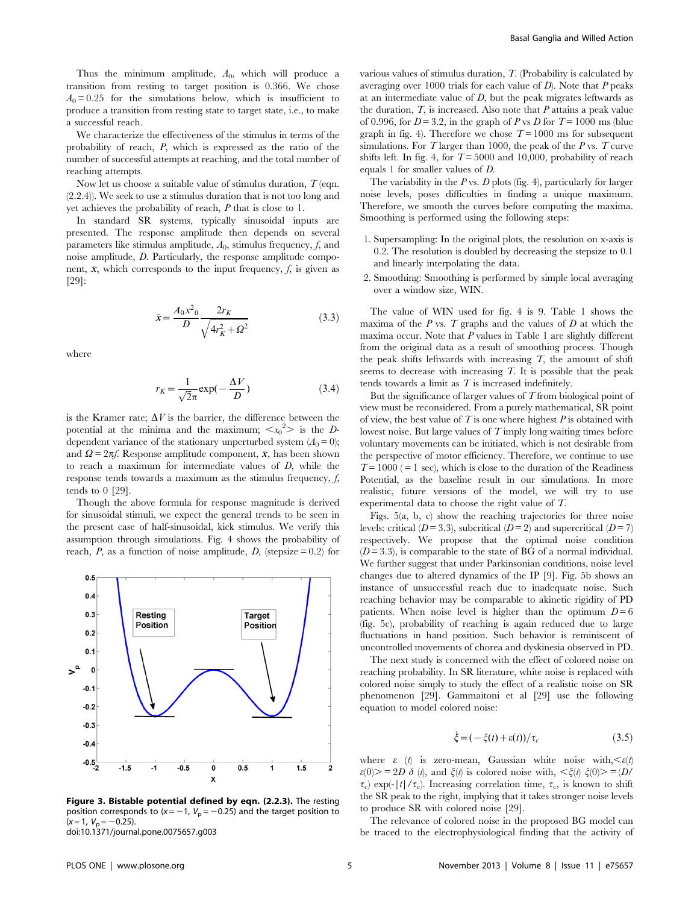Thus the minimum amplitude,  $A_0$ , which will produce a transition from resting to target position is 0.366. We chose  $A_0 = 0.25$  for the simulations below, which is insufficient to produce a transition from resting state to target state, i.e., to make a successful reach.

We characterize the effectiveness of the stimulus in terms of the probability of reach, P, which is expressed as the ratio of the number of successful attempts at reaching, and the total number of reaching attempts.

Now let us choose a suitable value of stimulus duration,  $T$  (eqn. (2.2.4)). We seek to use a stimulus duration that is not too long and yet achieves the probability of reach, P that is close to 1.

In standard SR systems, typically sinusoidal inputs are presented. The response amplitude then depends on several parameters like stimulus amplitude,  $A_0$ , stimulus frequency, f, and noise amplitude, D. Particularly, the response amplitude component,  $\bar{x}$ , which corresponds to the input frequency,  $f$ , is given as [29]:

$$
\bar{x} = \frac{A_0 x^2_0}{D} \frac{2r_K}{\sqrt{4r_K^2 + \Omega^2}}
$$
(3.3)

where

$$
r_K = \frac{1}{\sqrt{2}\pi} \exp(-\frac{\Delta V}{D})
$$
\n(3.4)

is the Kramer rate;  $\Delta V$  is the barrier, the difference between the potential at the minima and the maximum;  $\langle x_0^2 \rangle$  is the Ddependent variance of the stationary unperturbed system  $(A_0 = 0)$ ; and  $\Omega = 2\pi f$ . Response amplitude component,  $\bar{x}$ , has been shown to reach a maximum for intermediate values of D, while the response tends towards a maximum as the stimulus frequency,  $f$ , tends to 0 [29].

Though the above formula for response magnitude is derived for sinusoidal stimuli, we expect the general trends to be seen in the present case of half-sinusoidal, kick stimulus. We verify this assumption through simulations. Fig. 4 shows the probability of reach, P, as a function of noise amplitude, D, (stepsize  $= 0.2$ ) for



Figure 3. Bistable potential defined by eqn. (2.2.3). The resting position corresponds to ( $x = -1$ ,  $V_p = -0.25$ ) and the target position to  $(x = 1, V<sub>p</sub> = -0.25).$ doi:10.1371/journal.pone.0075657.g003

various values of stimulus duration, T. (Probability is calculated by averaging over 1000 trials for each value of  $D$ ). Note that  $P$  peaks at an intermediate value of  $D$ , but the peak migrates leftwards as the duration,  $T$ , is increased. Also note that  $P$  attains a peak value of 0.996, for  $D = 3.2$ , in the graph of P vs D for  $T = 1000$  ms (blue graph in fig. 4). Therefore we chose  $T = 1000$  ms for subsequent simulations. For T larger than 1000, the peak of the  $P$  vs. T curve shifts left. In fig. 4, for  $T=5000$  and 10,000, probability of reach equals 1 for smaller values of D.

The variability in the  $P$  vs.  $D$  plots (fig. 4), particularly for larger noise levels, poses difficulties in finding a unique maximum. Therefore, we smooth the curves before computing the maxima. Smoothing is performed using the following steps:

- 1. Supersampling: In the original plots, the resolution on x-axis is 0.2. The resolution is doubled by decreasing the stepsize to 0.1 and linearly interpolating the data.
- 2. Smoothing: Smoothing is performed by simple local averaging over a window size, WIN.

The value of WIN used for fig. 4 is 9. Table 1 shows the maxima of the  $P$  vs.  $T$  graphs and the values of  $D$  at which the maxima occur. Note that  $P$  values in Table 1 are slightly different from the original data as a result of smoothing process. Though the peak shifts leftwards with increasing  $T$ , the amount of shift seems to decrease with increasing  $T$ . It is possible that the peak tends towards a limit as  $\mathcal T$  is increased indefinitely.

But the significance of larger values of  $T$  from biological point of view must be reconsidered. From a purely mathematical, SR point of view, the best value of  $T$  is one where highest  $P$  is obtained with lowest noise. But large values of T imply long waiting times before voluntary movements can be initiated, which is not desirable from the perspective of motor efficiency. Therefore, we continue to use  $T= 1000$  (= 1 sec), which is close to the duration of the Readiness Potential, as the baseline result in our simulations. In more realistic, future versions of the model, we will try to use experimental data to choose the right value of T.

Figs. 5(a, b, c) show the reaching trajectories for three noise levels: critical ( $D = 3.3$ ), subcritical ( $D = 2$ ) and supercritical ( $D = 7$ ) respectively. We propose that the optimal noise condition  $(D=3.3)$ , is comparable to the state of BG of a normal individual. We further suggest that under Parkinsonian conditions, noise level changes due to altered dynamics of the IP [9]. Fig. 5b shows an instance of unsuccessful reach due to inadequate noise. Such reaching behavior may be comparable to akinetic rigidity of PD patients. When noise level is higher than the optimum  $D = 6$ (fig. 5c), probability of reaching is again reduced due to large fluctuations in hand position. Such behavior is reminiscent of uncontrolled movements of chorea and dyskinesia observed in PD.

The next study is concerned with the effect of colored noise on reaching probability. In SR literature, white noise is replaced with colored noise simply to study the effect of a realistic noise on SR phenomenon [29]. Gammaitoni et al [29] use the following equation to model colored noise:

$$
\dot{\xi} = \left(-\xi(t) + \varepsilon(t)\right) / \tau_c \tag{3.5}
$$

where  $\varepsilon$  (t) is zero-mean, Gaussian white noise with,  $\leq \varepsilon(t)$  $\varepsilon(0)$  = 2D  $\delta$  (t), and  $\xi(t)$  is colored noise with,  $\langle \xi(t) \xi(0) \rangle = |D|$  $\tau_c$ ) exp(- $|t|/\tau_c$ ). Increasing correlation time,  $\tau_c$ , is known to shift the SR peak to the right, implying that it takes stronger noise levels to produce SR with colored noise [29].

The relevance of colored noise in the proposed BG model can be traced to the electrophysiological finding that the activity of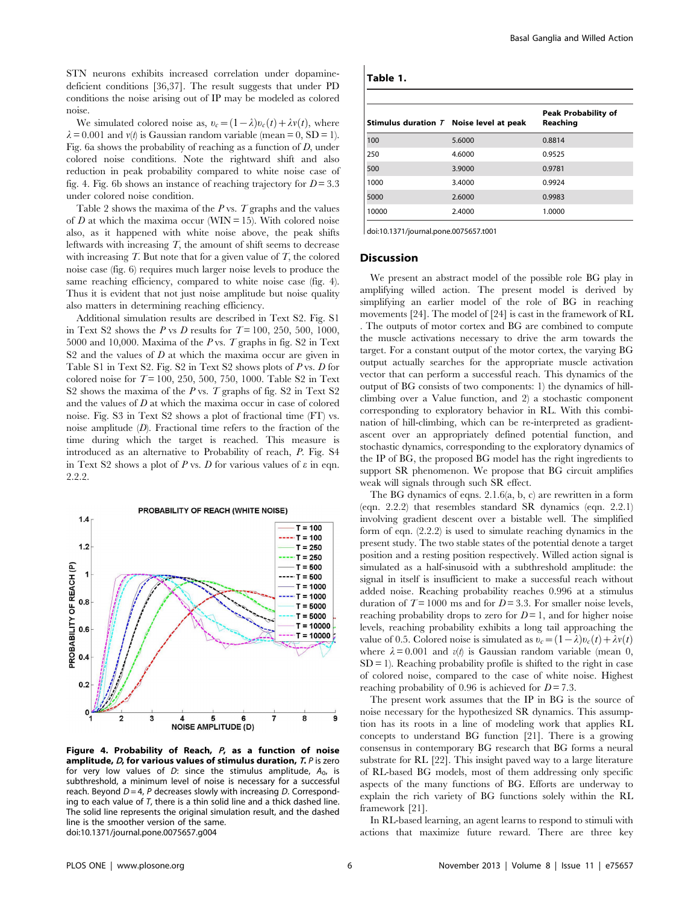STN neurons exhibits increased correlation under dopaminedeficient conditions [36,37]. The result suggests that under PD conditions the noise arising out of IP may be modeled as colored noise.

We simulated colored noise as,  $v_c = (1 - \lambda)v_c(t) + \lambda v(t)$ , where  $\lambda = 0.001$  and  $v(t)$  is Gaussian random variable (mean = 0, SD = 1). Fig. 6a shows the probability of reaching as a function of D, under colored noise conditions. Note the rightward shift and also reduction in peak probability compared to white noise case of fig. 4. Fig. 6b shows an instance of reaching trajectory for  $D = 3.3$ under colored noise condition.

Table 2 shows the maxima of the  $P$  vs.  $T$  graphs and the values of  $D$  at which the maxima occur (WIN = 15). With colored noise also, as it happened with white noise above, the peak shifts leftwards with increasing  $T$ , the amount of shift seems to decrease with increasing  $T$ . But note that for a given value of  $T$ , the colored noise case (fig. 6) requires much larger noise levels to produce the same reaching efficiency, compared to white noise case (fig. 4). Thus it is evident that not just noise amplitude but noise quality also matters in determining reaching efficiency.

Additional simulation results are described in Text S2. Fig. S1 in Text S2 shows the P vs D results for  $T=100, 250, 500, 1000$ , 5000 and 10,000. Maxima of the  $P$  vs.  $T$  graphs in fig. S2 in Text  $S2$  and the values of  $D$  at which the maxima occur are given in Table S1 in Text S2. Fig. S2 in Text S2 shows plots of P vs. D for colored noise for  $T = 100, 250, 500, 750, 1000$ . Table S2 in Text S2 shows the maxima of the  $P$  vs.  $T$  graphs of fig. S2 in Text S2 and the values of D at which the maxima occur in case of colored noise. Fig. S3 in Text S2 shows a plot of fractional time (FT) vs. noise amplitude  $(D)$ . Fractional time refers to the fraction of the time during which the target is reached. This measure is introduced as an alternative to Probability of reach, P. Fig. S4 in Text S2 shows a plot of P vs. D for various values of  $\varepsilon$  in eqn. 2.2.2.



Figure 4. Probability of Reach,  $P$ , as a function of noise amplitude,  $D$ , for various values of stimulus duration,  $T$ . P is zero for very low values of D: since the stimulus amplitude,  $A_{0}$ , is subthreshold, a minimum level of noise is necessary for a successful reach. Beyond  $D = 4$ , P decreases slowly with increasing D. Corresponding to each value of T, there is a thin solid line and a thick dashed line. The solid line represents the original simulation result, and the dashed line is the smoother version of the same. doi:10.1371/journal.pone.0075657.g004

| 10<br>۰.<br>v |
|---------------|
|---------------|

| Stimulus duration $T$ Noise level at peak |        | <b>Peak Probability of</b><br>Reaching |
|-------------------------------------------|--------|----------------------------------------|
| 100                                       | 5.6000 | 0.8814                                 |
| 250                                       | 4.6000 | 0.9525                                 |
| 500                                       | 3.9000 | 0.9781                                 |
| 1000                                      | 3.4000 | 0.9924                                 |
| 5000                                      | 2.6000 | 0.9983                                 |
| 10000                                     | 2.4000 | 1.0000                                 |
|                                           |        |                                        |

doi:10.1371/journal.pone.0075657.t001

#### **Discussion**

We present an abstract model of the possible role BG play in amplifying willed action. The present model is derived by simplifying an earlier model of the role of BG in reaching movements [24]. The model of [24] is cast in the framework of RL . The outputs of motor cortex and BG are combined to compute the muscle activations necessary to drive the arm towards the target. For a constant output of the motor cortex, the varying BG output actually searches for the appropriate muscle activation vector that can perform a successful reach. This dynamics of the output of BG consists of two components: 1) the dynamics of hillclimbing over a Value function, and 2) a stochastic component corresponding to exploratory behavior in RL. With this combination of hill-climbing, which can be re-interpreted as gradientascent over an appropriately defined potential function, and stochastic dynamics, corresponding to the exploratory dynamics of the IP of BG, the proposed BG model has the right ingredients to support SR phenomenon. We propose that BG circuit amplifies weak will signals through such SR effect.

The BG dynamics of eqns. 2.1.6(a, b, c) are rewritten in a form (eqn. 2.2.2) that resembles standard SR dynamics (eqn. 2.2.1) involving gradient descent over a bistable well. The simplified form of eqn. (2.2.2) is used to simulate reaching dynamics in the present study. The two stable states of the potential denote a target position and a resting position respectively. Willed action signal is simulated as a half-sinusoid with a subthreshold amplitude: the signal in itself is insufficient to make a successful reach without added noise. Reaching probability reaches 0.996 at a stimulus duration of  $T=1000$  ms and for  $D=3.3$ . For smaller noise levels, reaching probability drops to zero for  $D=1$ , and for higher noise levels, reaching probability exhibits a long tail approaching the value of 0.5. Colored noise is simulated as  $v_c = (1 - \lambda)v_c(t) + \lambda v(t)$ where  $\lambda = 0.001$  and  $v(t)$  is Gaussian random variable (mean 0,  $SD = 1$ ). Reaching probability profile is shifted to the right in case of colored noise, compared to the case of white noise. Highest reaching probability of 0.96 is achieved for  $D = 7.3$ .

The present work assumes that the IP in BG is the source of noise necessary for the hypothesized SR dynamics. This assumption has its roots in a line of modeling work that applies RL concepts to understand BG function [21]. There is a growing consensus in contemporary BG research that BG forms a neural substrate for RL [22]. This insight paved way to a large literature of RL-based BG models, most of them addressing only specific aspects of the many functions of BG. Efforts are underway to explain the rich variety of BG functions solely within the RL framework [21].

In RL-based learning, an agent learns to respond to stimuli with actions that maximize future reward. There are three key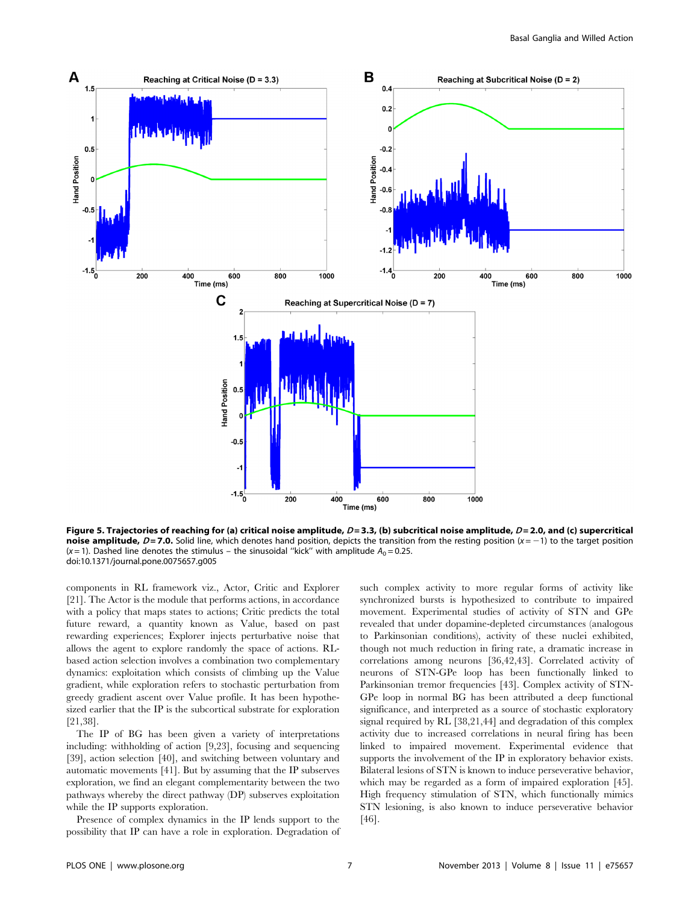

Figure 5. Trajectories of reaching for (a) critical noise amplitude,  $D=3.3$ , (b) subcritical noise amplitude,  $D=2.0$ , and (c) supercritical noise amplitude,  $D=$  7.0. Solid line, which denotes hand position, depicts the transition from the resting position ( $x = -1$ ) to the target position  $(x = 1)$ . Dashed line denotes the stimulus – the sinusoidal "kick" with amplitude  $A_0 = 0.25$ . doi:10.1371/journal.pone.0075657.g005

components in RL framework viz., Actor, Critic and Explorer [21]. The Actor is the module that performs actions, in accordance with a policy that maps states to actions; Critic predicts the total future reward, a quantity known as Value, based on past rewarding experiences; Explorer injects perturbative noise that allows the agent to explore randomly the space of actions. RLbased action selection involves a combination two complementary dynamics: exploitation which consists of climbing up the Value gradient, while exploration refers to stochastic perturbation from greedy gradient ascent over Value profile. It has been hypothesized earlier that the IP is the subcortical substrate for exploration [21,38].

The IP of BG has been given a variety of interpretations including: withholding of action [9,23], focusing and sequencing [39], action selection [40], and switching between voluntary and automatic movements [41]. But by assuming that the IP subserves exploration, we find an elegant complementarity between the two pathways whereby the direct pathway (DP) subserves exploitation while the IP supports exploration.

Presence of complex dynamics in the IP lends support to the possibility that IP can have a role in exploration. Degradation of such complex activity to more regular forms of activity like synchronized bursts is hypothesized to contribute to impaired movement. Experimental studies of activity of STN and GPe revealed that under dopamine-depleted circumstances (analogous to Parkinsonian conditions), activity of these nuclei exhibited, though not much reduction in firing rate, a dramatic increase in correlations among neurons [36,42,43]. Correlated activity of neurons of STN-GPe loop has been functionally linked to Parkinsonian tremor frequencies [43]. Complex activity of STN-GPe loop in normal BG has been attributed a deep functional significance, and interpreted as a source of stochastic exploratory signal required by RL [38,21,44] and degradation of this complex activity due to increased correlations in neural firing has been linked to impaired movement. Experimental evidence that supports the involvement of the IP in exploratory behavior exists. Bilateral lesions of STN is known to induce perseverative behavior, which may be regarded as a form of impaired exploration [45]. High frequency stimulation of STN, which functionally mimics STN lesioning, is also known to induce perseverative behavior [46].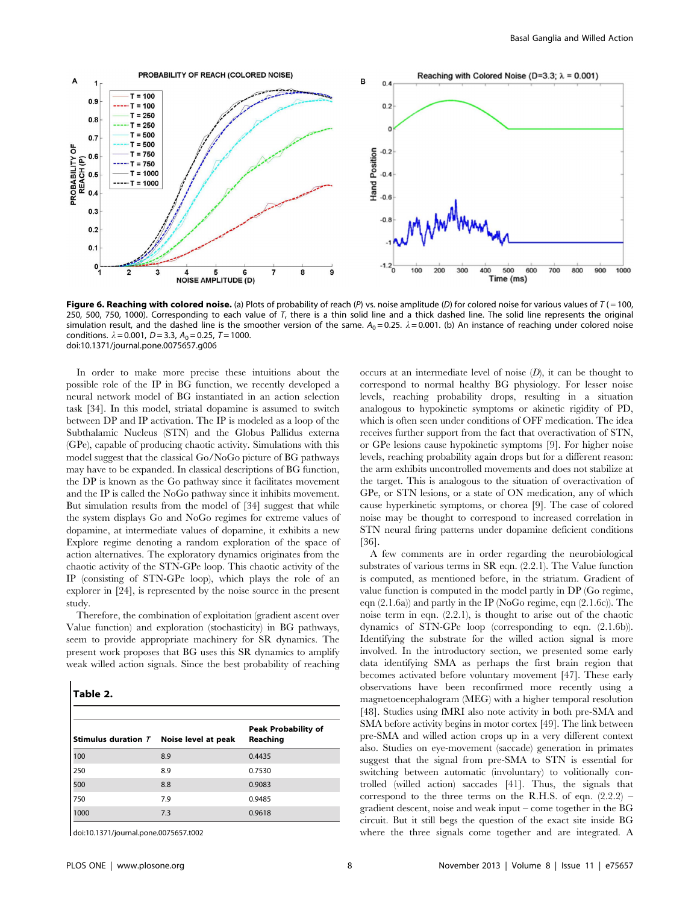

**Figure 6. Reaching with colored noise.** (a) Plots of probability of reach (P) vs. noise amplitude (D) for colored noise for various values of  $T (= 100,$ 250, 500, 750, 1000). Corresponding to each value of  $T$ , there is a thin solid line and a thick dashed line. The solid line represents the original simulation result, and the dashed line is the smoother version of the same.  $A_0 = 0.25$ .  $\lambda = 0.001$ . (b) An instance of reaching under colored noise conditions.  $\lambda = 0.001$ ,  $D = 3.3$ ,  $A_0 = 0.25$ ,  $T = 1000$ . doi:10.1371/journal.pone.0075657.g006

In order to make more precise these intuitions about the possible role of the IP in BG function, we recently developed a neural network model of BG instantiated in an action selection task [34]. In this model, striatal dopamine is assumed to switch between DP and IP activation. The IP is modeled as a loop of the Subthalamic Nucleus (STN) and the Globus Pallidus externa (GPe), capable of producing chaotic activity. Simulations with this model suggest that the classical Go/NoGo picture of BG pathways may have to be expanded. In classical descriptions of BG function, the DP is known as the Go pathway since it facilitates movement and the IP is called the NoGo pathway since it inhibits movement. But simulation results from the model of [34] suggest that while the system displays Go and NoGo regimes for extreme values of dopamine, at intermediate values of dopamine, it exhibits a new Explore regime denoting a random exploration of the space of action alternatives. The exploratory dynamics originates from the chaotic activity of the STN-GPe loop. This chaotic activity of the IP (consisting of STN-GPe loop), which plays the role of an explorer in [24], is represented by the noise source in the present study.

Therefore, the combination of exploitation (gradient ascent over Value function) and exploration (stochasticity) in BG pathways, seem to provide appropriate machinery for SR dynamics. The present work proposes that BG uses this SR dynamics to amplify weak willed action signals. Since the best probability of reaching

Table 2.

| Stimulus duration $T$ Noise level at peak |     | <b>Peak Probability of</b><br>Reaching |
|-------------------------------------------|-----|----------------------------------------|
| 100                                       | 8.9 | 0.4435                                 |
| 250                                       | 8.9 | 0.7530                                 |
| 500                                       | 8.8 | 0.9083                                 |
| 750                                       | 7.9 | 0.9485                                 |
| 1000                                      | 7.3 | 0.9618                                 |

doi:10.1371/journal.pone.0075657.t002

occurs at an intermediate level of noise  $(D)$ , it can be thought to correspond to normal healthy BG physiology. For lesser noise levels, reaching probability drops, resulting in a situation analogous to hypokinetic symptoms or akinetic rigidity of PD, which is often seen under conditions of OFF medication. The idea receives further support from the fact that overactivation of STN, or GPe lesions cause hypokinetic symptoms [9]. For higher noise levels, reaching probability again drops but for a different reason: the arm exhibits uncontrolled movements and does not stabilize at the target. This is analogous to the situation of overactivation of GPe, or STN lesions, or a state of ON medication, any of which cause hyperkinetic symptoms, or chorea [9]. The case of colored noise may be thought to correspond to increased correlation in STN neural firing patterns under dopamine deficient conditions [36].

A few comments are in order regarding the neurobiological substrates of various terms in SR eqn. (2.2.1). The Value function is computed, as mentioned before, in the striatum. Gradient of value function is computed in the model partly in DP (Go regime, eqn (2.1.6a)) and partly in the IP (NoGo regime, eqn (2.1.6c)). The noise term in eqn. (2.2.1), is thought to arise out of the chaotic dynamics of STN-GPe loop (corresponding to eqn. (2.1.6b)). Identifying the substrate for the willed action signal is more involved. In the introductory section, we presented some early data identifying SMA as perhaps the first brain region that becomes activated before voluntary movement [47]. These early observations have been reconfirmed more recently using a magnetoencephalogram (MEG) with a higher temporal resolution [48]. Studies using fMRI also note activity in both pre-SMA and SMA before activity begins in motor cortex [49]. The link between pre-SMA and willed action crops up in a very different context also. Studies on eye-movement (saccade) generation in primates suggest that the signal from pre-SMA to STN is essential for switching between automatic (involuntary) to volitionally controlled (willed action) saccades [41]. Thus, the signals that correspond to the three terms on the R.H.S. of eqn.  $(2.2.2)$  – gradient descent, noise and weak input – come together in the BG circuit. But it still begs the question of the exact site inside BG where the three signals come together and are integrated. A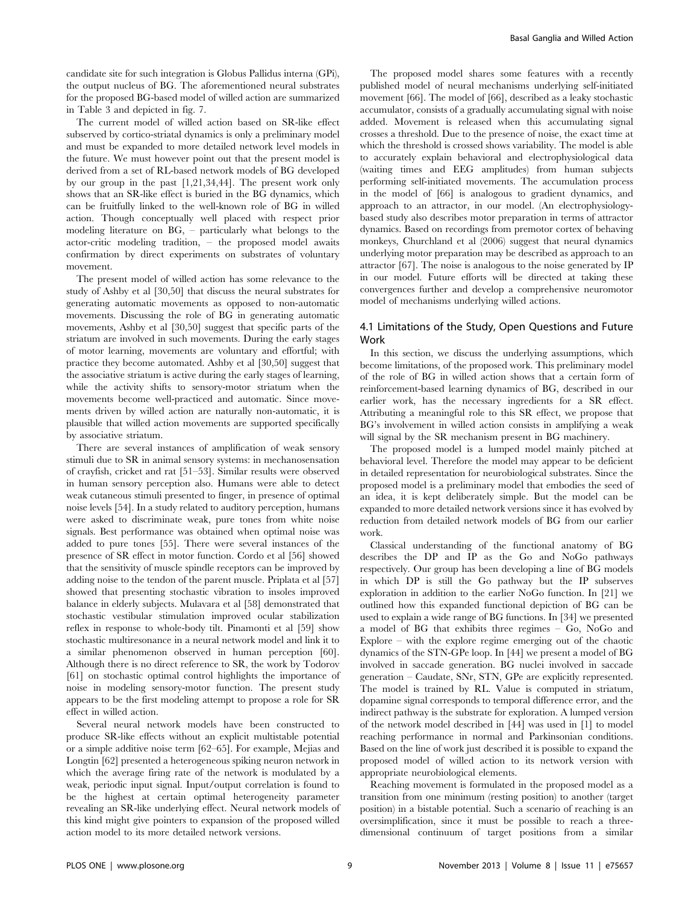candidate site for such integration is Globus Pallidus interna (GPi), the output nucleus of BG. The aforementioned neural substrates for the proposed BG-based model of willed action are summarized in Table 3 and depicted in fig. 7.

The current model of willed action based on SR-like effect subserved by cortico-striatal dynamics is only a preliminary model and must be expanded to more detailed network level models in the future. We must however point out that the present model is derived from a set of RL-based network models of BG developed by our group in the past [1,21,34,44]. The present work only shows that an SR-like effect is buried in the BG dynamics, which can be fruitfully linked to the well-known role of BG in willed action. Though conceptually well placed with respect prior modeling literature on BG, – particularly what belongs to the actor-critic modeling tradition, – the proposed model awaits confirmation by direct experiments on substrates of voluntary movement.

The present model of willed action has some relevance to the study of Ashby et al [30,50] that discuss the neural substrates for generating automatic movements as opposed to non-automatic movements. Discussing the role of BG in generating automatic movements, Ashby et al [30,50] suggest that specific parts of the striatum are involved in such movements. During the early stages of motor learning, movements are voluntary and effortful; with practice they become automated. Ashby et al [30,50] suggest that the associative striatum is active during the early stages of learning, while the activity shifts to sensory-motor striatum when the movements become well-practiced and automatic. Since movements driven by willed action are naturally non-automatic, it is plausible that willed action movements are supported specifically by associative striatum.

There are several instances of amplification of weak sensory stimuli due to SR in animal sensory systems: in mechanosensation of crayfish, cricket and rat [51–53]. Similar results were observed in human sensory perception also. Humans were able to detect weak cutaneous stimuli presented to finger, in presence of optimal noise levels [54]. In a study related to auditory perception, humans were asked to discriminate weak, pure tones from white noise signals. Best performance was obtained when optimal noise was added to pure tones [55]. There were several instances of the presence of SR effect in motor function. Cordo et al [56] showed that the sensitivity of muscle spindle receptors can be improved by adding noise to the tendon of the parent muscle. Priplata et al [57] showed that presenting stochastic vibration to insoles improved balance in elderly subjects. Mulavara et al [58] demonstrated that stochastic vestibular stimulation improved ocular stabilization reflex in response to whole-body tilt. Pinamonti et al [59] show stochastic multiresonance in a neural network model and link it to a similar phenomenon observed in human perception [60]. Although there is no direct reference to SR, the work by Todorov [61] on stochastic optimal control highlights the importance of noise in modeling sensory-motor function. The present study appears to be the first modeling attempt to propose a role for SR effect in willed action.

Several neural network models have been constructed to produce SR-like effects without an explicit multistable potential or a simple additive noise term [62–65]. For example, Mejias and Longtin [62] presented a heterogeneous spiking neuron network in which the average firing rate of the network is modulated by a weak, periodic input signal. Input/output correlation is found to be the highest at certain optimal heterogeneity parameter revealing an SR-like underlying effect. Neural network models of this kind might give pointers to expansion of the proposed willed action model to its more detailed network versions.

The proposed model shares some features with a recently published model of neural mechanisms underlying self-initiated movement [66]. The model of [66], described as a leaky stochastic accumulator, consists of a gradually accumulating signal with noise added. Movement is released when this accumulating signal crosses a threshold. Due to the presence of noise, the exact time at which the threshold is crossed shows variability. The model is able to accurately explain behavioral and electrophysiological data (waiting times and EEG amplitudes) from human subjects performing self-initiated movements. The accumulation process in the model of [66] is analogous to gradient dynamics, and approach to an attractor, in our model. (An electrophysiologybased study also describes motor preparation in terms of attractor dynamics. Based on recordings from premotor cortex of behaving monkeys, Churchland et al (2006) suggest that neural dynamics underlying motor preparation may be described as approach to an attractor [67]. The noise is analogous to the noise generated by IP in our model. Future efforts will be directed at taking these convergences further and develop a comprehensive neuromotor model of mechanisms underlying willed actions.

# 4.1 Limitations of the Study, Open Questions and Future Work

In this section, we discuss the underlying assumptions, which become limitations, of the proposed work. This preliminary model of the role of BG in willed action shows that a certain form of reinforcement-based learning dynamics of BG, described in our earlier work, has the necessary ingredients for a SR effect. Attributing a meaningful role to this SR effect, we propose that BG's involvement in willed action consists in amplifying a weak will signal by the SR mechanism present in BG machinery.

The proposed model is a lumped model mainly pitched at behavioral level. Therefore the model may appear to be deficient in detailed representation for neurobiological substrates. Since the proposed model is a preliminary model that embodies the seed of an idea, it is kept deliberately simple. But the model can be expanded to more detailed network versions since it has evolved by reduction from detailed network models of BG from our earlier work.

Classical understanding of the functional anatomy of BG describes the DP and IP as the Go and NoGo pathways respectively. Our group has been developing a line of BG models in which DP is still the Go pathway but the IP subserves exploration in addition to the earlier NoGo function. In [21] we outlined how this expanded functional depiction of BG can be used to explain a wide range of BG functions. In [34] we presented a model of BG that exhibits three regimes – Go, NoGo and Explore – with the explore regime emerging out of the chaotic dynamics of the STN-GPe loop. In [44] we present a model of BG involved in saccade generation. BG nuclei involved in saccade generation – Caudate, SNr, STN, GPe are explicitly represented. The model is trained by RL. Value is computed in striatum, dopamine signal corresponds to temporal difference error, and the indirect pathway is the substrate for exploration. A lumped version of the network model described in [44] was used in [1] to model reaching performance in normal and Parkinsonian conditions. Based on the line of work just described it is possible to expand the proposed model of willed action to its network version with appropriate neurobiological elements.

Reaching movement is formulated in the proposed model as a transition from one minimum (resting position) to another (target position) in a bistable potential. Such a scenario of reaching is an oversimplification, since it must be possible to reach a threedimensional continuum of target positions from a similar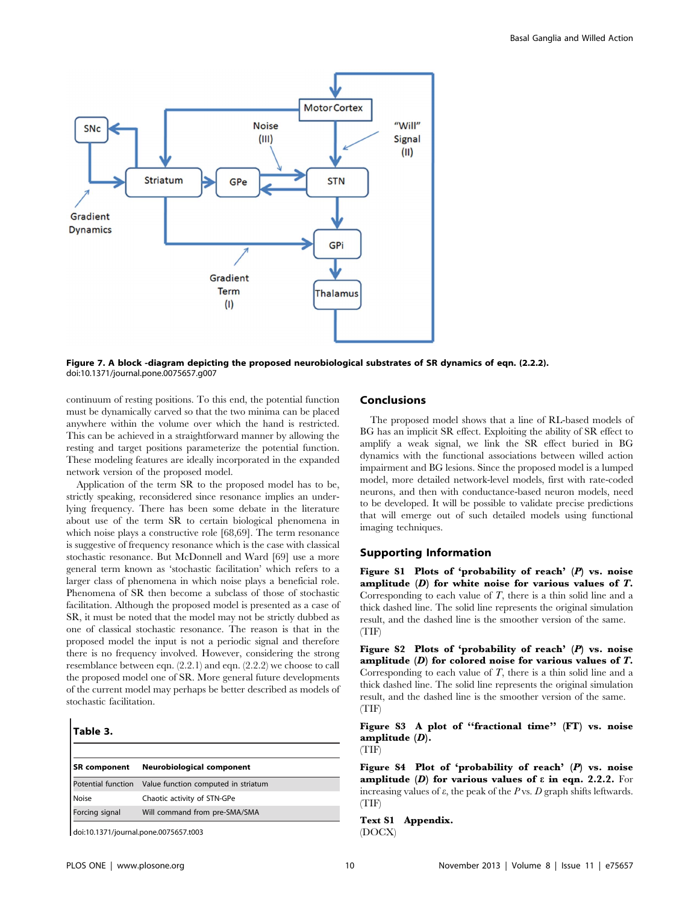

Figure 7. A block -diagram depicting the proposed neurobiological substrates of SR dynamics of eqn. (2.2.2). doi:10.1371/journal.pone.0075657.g007

continuum of resting positions. To this end, the potential function must be dynamically carved so that the two minima can be placed anywhere within the volume over which the hand is restricted. This can be achieved in a straightforward manner by allowing the resting and target positions parameterize the potential function. These modeling features are ideally incorporated in the expanded network version of the proposed model.

Application of the term SR to the proposed model has to be, strictly speaking, reconsidered since resonance implies an underlying frequency. There has been some debate in the literature about use of the term SR to certain biological phenomena in which noise plays a constructive role [68,69]. The term resonance is suggestive of frequency resonance which is the case with classical stochastic resonance. But McDonnell and Ward [69] use a more general term known as 'stochastic facilitation' which refers to a larger class of phenomena in which noise plays a beneficial role. Phenomena of SR then become a subclass of those of stochastic facilitation. Although the proposed model is presented as a case of SR, it must be noted that the model may not be strictly dubbed as one of classical stochastic resonance. The reason is that in the proposed model the input is not a periodic signal and therefore there is no frequency involved. However, considering the strong resemblance between eqn. (2.2.1) and eqn. (2.2.2) we choose to call the proposed model one of SR. More general future developments of the current model may perhaps be better described as models of stochastic facilitation.

#### Table 3.

| <b>SR</b> component | Neurobiological component                              |
|---------------------|--------------------------------------------------------|
|                     | Potential function Value function computed in striatum |
| Noise               | Chaotic activity of STN-GPe                            |
| Forcing signal      | Will command from pre-SMA/SMA                          |
|                     |                                                        |

doi:10.1371/journal.pone.0075657.t003

## Conclusions

The proposed model shows that a line of RL-based models of BG has an implicit SR effect. Exploiting the ability of SR effect to amplify a weak signal, we link the SR effect buried in BG dynamics with the functional associations between willed action impairment and BG lesions. Since the proposed model is a lumped model, more detailed network-level models, first with rate-coded neurons, and then with conductance-based neuron models, need to be developed. It will be possible to validate precise predictions that will emerge out of such detailed models using functional imaging techniques.

### Supporting Information

Figure S1 Plots of 'probability of reach'  $(P)$  vs. noise amplitude  $(D)$  for white noise for various values of  $T$ . Corresponding to each value of  $T$ , there is a thin solid line and a thick dashed line. The solid line represents the original simulation result, and the dashed line is the smoother version of the same. (TIF)

Figure S2 Plots of 'probability of reach' (P) vs. noise amplitude  $(D)$  for colored noise for various values of  $T$ . Corresponding to each value of  $T$ , there is a thin solid line and a thick dashed line. The solid line represents the original simulation result, and the dashed line is the smoother version of the same. (TIF)

Figure S3 A plot of ''fractional time'' (FT) vs. noise amplitude (D). (TIF)

Figure S4 Plot of 'probability of reach' (P) vs. noise amplitude (D) for various values of  $\varepsilon$  in eqn. 2.2.2. For increasing values of  $\varepsilon$ , the peak of the P vs. D graph shifts leftwards. (TIF)

Text S1 Appendix. (DOCX)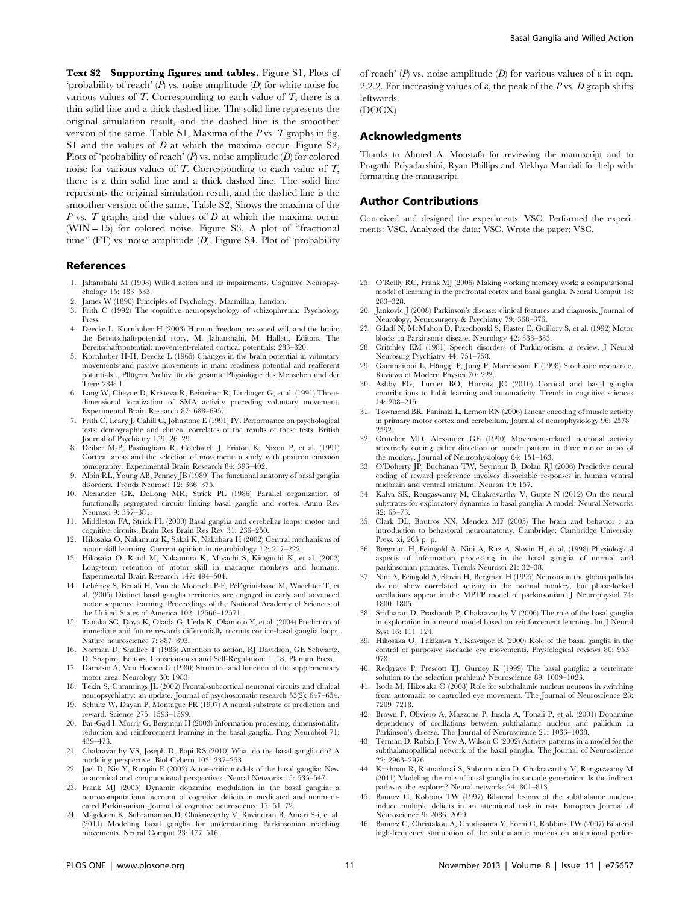Text S2 Supporting figures and tables. Figure S1, Plots of 'probability of reach'  $(P)$  vs. noise amplitude  $(D)$  for white noise for various values of  $T$ . Corresponding to each value of  $T$ , there is a thin solid line and a thick dashed line. The solid line represents the original simulation result, and the dashed line is the smoother version of the same. Table S1, Maxima of the P vs. T graphs in fig. S1 and the values of D at which the maxima occur. Figure S2, Plots of 'probability of reach'  $(P)$  vs. noise amplitude  $(D)$  for colored noise for various values of T. Corresponding to each value of T, there is a thin solid line and a thick dashed line. The solid line represents the original simulation result, and the dashed line is the smoother version of the same. Table S2, Shows the maxima of the  $P$  vs.  $T$  graphs and the values of  $D$  at which the maxima occur  $(WIN = 15)$  for colored noise. Figure S3, A plot of "fractional" time" (FT) vs. noise amplitude (D). Figure S4, Plot of 'probability

#### References

- 1. Jahanshahi M (1998) Willed action and its impairments. Cognitive Neuropsychology 15: 483–533.
- 2. James W (1890) Principles of Psychology. Macmillan, London.
- 3. Frith C (1992) The cognitive neuropsychology of schizophrenia: Psychology Press.
- 4. Deecke L, Kornhuber H (2003) Human freedom, reasoned will, and the brain: the Bereitschaftspotential story, M. Jahanshahi, M. Hallett, Editors. The Bereitschaftspotential: movement-related cortical potentials: 283–320.
- 5. Kornhuber H-H, Deecke L (1965) Changes in the brain potential in voluntary movements and passive movements in man: readiness potential and reafferent potentials. . Pflügers Archiv für die gesamte Physiologie des Menschen und der Tiere 284: 1.
- 6. Lang W, Cheyne D, Kristeva R, Beisteiner R, Lindinger G, et al. (1991) Threedimensional localization of SMA activity preceding voluntary movement. Experimental Brain Research 87: 688–695.
- 7. Frith C, Leary J, Cahill C, Johnstone E (1991) IV. Performance on psychological tests: demographic and clinical correlates of the results of these tests. British Journal of Psychiatry 159: 26–29.
- 8. Deiber M-P, Passingham R, Colebatch J, Friston K, Nixon P, et al. (1991) Cortical areas and the selection of movement: a study with positron emission tomography. Experimental Brain Research 84: 393–402.
- 9. Albin RL, Young AB, Penney JB (1989) The functional anatomy of basal ganglia disorders. Trends Neurosci 12: 366–375.
- 10. Alexander GE, DeLong MR, Strick PL (1986) Parallel organization of functionally segregated circuits linking basal ganglia and cortex. Annu Rev Neurosci 9: 357–381.
- 11. Middleton FA, Strick PL (2000) Basal ganglia and cerebellar loops: motor and cognitive circuits. Brain Res Brain Res Rev 31: 236–250.
- 12. Hikosaka O, Nakamura K, Sakai K, Nakahara H (2002) Central mechanisms of motor skill learning. Current opinion in neurobiology 12: 217–222.
- 13. Hikosaka O, Rand M, Nakamura K, Miyachi S, Kitaguchi K, et al. (2002) Long-term retention of motor skill in macaque monkeys and humans. Experimental Brain Research 147: 494–504.
- 14. Lehéricy S, Benali H, Van de Moortele P-F, Pélégrini-Issac M, Waechter T, et al. (2005) Distinct basal ganglia territories are engaged in early and advanced motor sequence learning. Proceedings of the National Academy of Sciences of the United States of America 102: 12566–12571.
- 15. Tanaka SC, Doya K, Okada G, Ueda K, Okamoto Y, et al. (2004) Prediction of immediate and future rewards differentially recruits cortico-basal ganglia loops. Nature neuroscience 7: 887–893.
- 16. Norman D, Shallice T (1986) Attention to action, RJ Davidson, GE Schwartz, D. Shapiro, Editors. Consciousness and Self-Regulation: 1–18. Plenum Press.
- 17. Damasio A, Van Hoesen G (1980) Structure and function of the supplementary motor area. Neurology 30: 1983.
- 18. Tekin S, Cummings  $\overline{\text{JL}}$  (2002) Frontal-subcortical neuronal circuits and clinical neuropsychiatry: an update. Journal of psychosomatic research 53(2): 647–654.
- 19. Schultz W, Dayan P, Montague PR (1997) A neural substrate of prediction and reward. Science 275: 1593–1599.
- 20. Bar-Gad I, Morris G, Bergman H (2003) Information processing, dimensionality reduction and reinforcement learning in the basal ganglia. Prog Neurobiol 71: 439–473.
- 21. Chakravarthy VS, Joseph D, Bapi RS (2010) What do the basal ganglia do? A modeling perspective. Biol Cybern 103: 237–253.
- 22. Joel D, Niv Y, Ruppin E (2002) Actor–critic models of the basal ganglia: New anatomical and computational perspectives. Neural Networks 15: 535–547.
- 23. Frank MJ (2005) Dynamic dopamine modulation in the basal ganglia: a neurocomputational account of cognitive deficits in medicated and nonmedicated Parkinsonism. Journal of cognitive neuroscience 17: 51–72.
- 24. Magdoom K, Subramanian D, Chakravarthy V, Ravindran B, Amari S-i, et al. (2011) Modeling basal ganglia for understanding Parkinsonian reaching movements. Neural Comput 23: 477–516.

of reach' (P) vs. noise amplitude (D) for various values of  $\varepsilon$  in eqn. 2.2.2. For increasing values of  $\varepsilon$ , the peak of the P vs. D graph shifts leftwards.

(DOCX)

# Acknowledgments

Thanks to Ahmed A. Moustafa for reviewing the manuscript and to Pragathi Priyadarshini, Ryan Phillips and Alekhya Mandali for help with formatting the manuscript.

# Author Contributions

Conceived and designed the experiments: VSC. Performed the experiments: VSC. Analyzed the data: VSC. Wrote the paper: VSC.

- 25. O'Reilly RC, Frank MJ (2006) Making working memory work: a computational model of learning in the prefrontal cortex and basal ganglia. Neural Comput 18: 283–328.
- 26. Jankovic J (2008) Parkinson's disease: clinical features and diagnosis. Journal of Neurology, Neurosurgery & Psychiatry 79: 368–376.
- 27. Giladi N, McMahon D, Przedborski S, Flaster E, Guillory S, et al. (1992) Motor blocks in Parkinson's disease. Neurology 42: 333–333.
- 28. Critchley EM (1981) Speech disorders of Parkinsonism: a review. J Neurol Neurosurg Psychiatry 44: 751–758.
- 29. Gammaitoni L, Hänggi P, Jung P, Marchesoni F (1998) Stochastic resonance. Reviews of Modern Physics 70: 223.
- 30. Ashby FG, Turner BO, Horvitz JC (2010) Cortical and basal ganglia contributions to habit learning and automaticity. Trends in cognitive sciences 14: 208–215.
- 31. Townsend BR, Paninski L, Lemon RN (2006) Linear encoding of muscle activity in primary motor cortex and cerebellum. Journal of neurophysiology 96: 2578– 2592.
- 32. Crutcher MD, Alexander GE (1990) Movement-related neuronal activity selectively coding either direction or muscle pattern in three motor areas of the monkey. Journal of Neurophysiology 64: 151–163.
- 33. O'Doherty JP, Buchanan TW, Seymour B, Dolan RJ (2006) Predictive neural coding of reward preference involves dissociable responses in human ventral midbrain and ventral striatum. Neuron 49: 157.
- 34. Kalva SK, Rengaswamy M, Chakravarthy V, Gupte N (2012) On the neural substrates for exploratory dynamics in basal ganglia: A model. Neural Networks 32: 65–73.
- 35. Clark DL, Boutros NN, Mendez MF (2005) The brain and behavior : an introduction to behavioral neuroanatomy. Cambridge: Cambridge University Press. xi, 265 p. p.
- 36. Bergman H, Feingold A, Nini A, Raz A, Slovin H, et al. (1998) Physiological aspects of information processing in the basal ganglia of normal and parkinsonian primates. Trends Neurosci 21: 32–38.
- 37. Nini A, Feingold A, Slovin H, Bergman H (1995) Neurons in the globus pallidus do not show correlated activity in the normal monkey, but phase-locked oscillations appear in the MPTP model of parkinsonism. J Neurophysiol 74: 1800–1805.
- 38. Sridharan D, Prashanth P, Chakravarthy V (2006) The role of the basal ganglia in exploration in a neural model based on reinforcement learning. Int J Neural Syst 16: 111–124.
- 39. Hikosaka O, Takikawa Y, Kawagoe R (2000) Role of the basal ganglia in the control of purposive saccadic eye movements. Physiological reviews 80: 953– 978.
- 40. Redgrave P, Prescott TJ, Gurney K (1999) The basal ganglia: a vertebrate solution to the selection problem? Neuroscience 89: 1009–1023.
- 41. Isoda M, Hikosaka O (2008) Role for subthalamic nucleus neurons in switching from automatic to controlled eye movement. The Journal of Neuroscience 28: 7209–7218.
- 42. Brown P, Oliviero A, Mazzone P, Insola A, Tonali P, et al. (2001) Dopamine dependency of oscillations between subthalamic nucleus and pallidum in Parkinson's disease. The Journal of Neuroscience 21: 1033–1038.
- 43. Terman D, Rubin J, Yew A, Wilson C (2002) Activity patterns in a model for the subthalamopallidal network of the basal ganglia. The Journal of Neuroscience 22: 2963–2976.
- 44. Krishnan R, Ratnadurai S, Subramanian D, Chakravarthy V, Rengaswamy M (2011) Modeling the role of basal ganglia in saccade generation: Is the indirect pathway the explorer? Neural networks 24: 801–813.
- 45. Baunez C, Robbins TW (1997) Bilateral lesions of the subthalamic nucleus induce multiple deficits in an attentional task in rats. European Journal of Neuroscience 9: 2086–2099.
- 46. Baunez C, Christakou A, Chudasama Y, Forni C, Robbins TW (2007) Bilateral high-frequency stimulation of the subthalamic nucleus on attentional perfor-